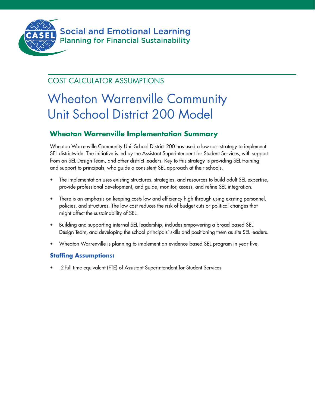

Social and Emotional Learning Planning for Financial Sustainability

## COST CALCULATOR ASSUMPTIONS

# Wheaton Warrenville Community Unit School District 200 Model

## **Wheaton Warrenville Implementation Summary**

Wheaton Warrenville Community Unit School District 200 has used a low cost strategy to implement SEL districtwide. The initiative is led by the Assistant Superintendent for Student Services, with support from an SEL Design Team, and other district leaders. Key to this strategy is providing SEL training and support to principals, who guide a consistent SEL approach at their schools.

- The implementation uses existing structures, strategies, and resources to build adult SEL expertise, provide professional development, and guide, monitor, assess, and refine SEL integration.
- There is an emphasis on keeping costs low and efficiency high through using existing personnel, policies, and structures. The low cost reduces the risk of budget cuts or political changes that might affect the sustainability of SEL.
- Building and supporting internal SEL leadership, includes empowering a broad-based SEL Design Team, and developing the school principals' skills and positioning them as site SEL leaders.
- Wheaton Warrenville is planning to implement an evidence-based SEL program in year five.

### **Staffing Assumptions:**

• .2 full time equivalent (FTE) of Assistant Superintendent for Student Services